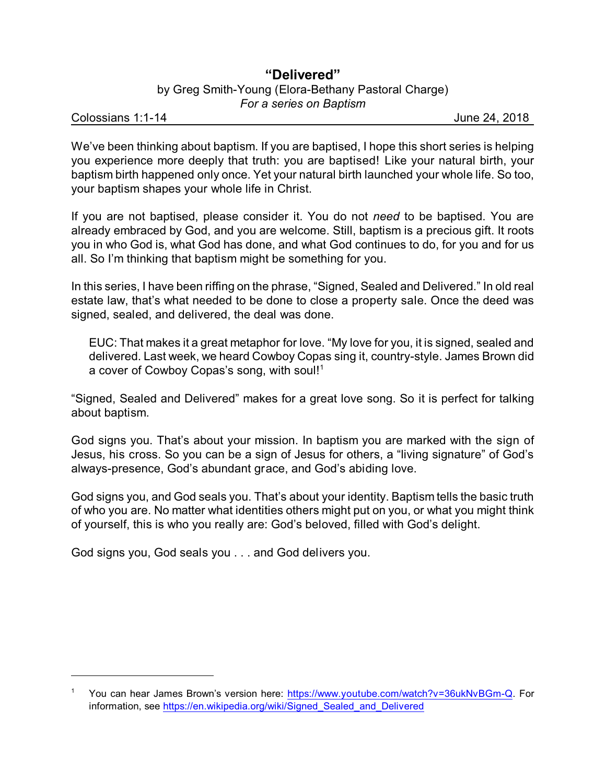## **"Delivered"** by Greg Smith-Young (Elora-Bethany Pastoral Charge) *For a series on Baptism*

Colossians 1:1-14 June 24, 2018

We've been thinking about baptism. If you are baptised, I hope this short series is helping you experience more deeply that truth: you are baptised! Like your natural birth, your baptism birth happened only once. Yet your natural birth launched your whole life. So too, your baptism shapes your whole life in Christ.

If you are not baptised, please consider it. You do not *need* to be baptised. You are already embraced by God, and you are welcome. Still, baptism is a precious gift. It roots you in who God is, what God has done, and what God continues to do, for you and for us all. So I'm thinking that baptism might be something for you.

In this series, I have been riffing on the phrase, "Signed, Sealed and Delivered." In old real estate law, that's what needed to be done to close a property sale. Once the deed was signed, sealed, and delivered, the deal was done.

EUC: That makes it a great metaphor for love. "My love for you, it is signed, sealed and delivered. Last week, we heard Cowboy Copas sing it, country-style. James Brown did a cover of Cowboy Copas's song, with soul!<sup>1</sup>

"Signed, Sealed and Delivered" makes for a great love song. So it is perfect for talking about baptism.

God signs you. That's about your mission. In baptism you are marked with the sign of Jesus, his cross. So you can be a sign of Jesus for others, a "living signature" of God's always-presence, God's abundant grace, and God's abiding love.

God signs you, and God seals you. That's about your identity. Baptism tells the basic truth of who you are. No matter what identities others might put on you, or what you might think of yourself, this is who you really are: God's beloved, filled with God's delight.

God signs you, God seals you . . . and God delivers you.

<sup>1</sup> You can hear James Brown's version here: <https://www.youtube.com/watch?v=36ukNvBGm-Q>. For information, see https://en.wikipedia.org/wiki/Signed Sealed and Delivered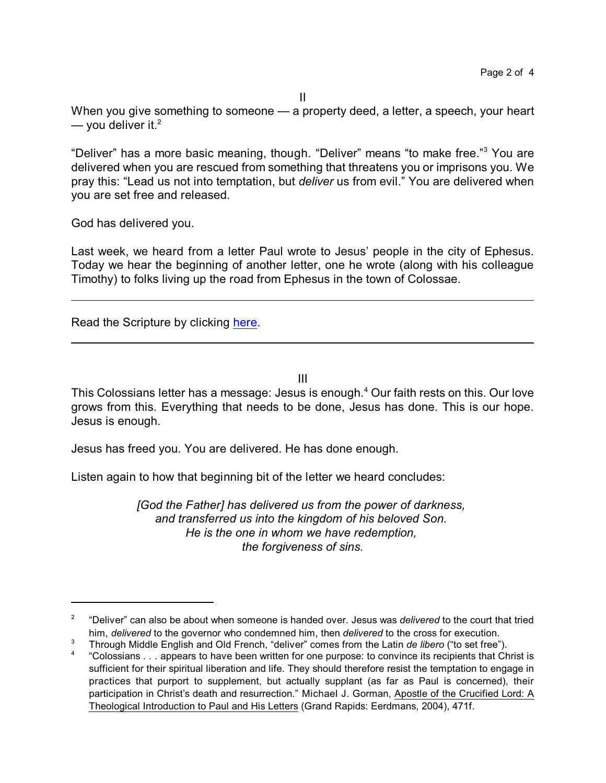When you give something to someone — a property deed, a letter, a speech, your heart  $-$  you deliver it.<sup>2</sup>

"Deliver" has a more basic meaning, though. "Deliver" means "to make free."<sup>3</sup> You are delivered when you are rescued from something that threatens you or imprisons you. We pray this: "Lead us not into temptation, but *deliver* us from evil." You are delivered when you are set free and released.

God has delivered you.

Last week, we heard from a letter Paul wrote to Jesus' people in the city of Ephesus. Today we hear the beginning of another letter, one he wrote (along with his colleague Timothy) to folks living up the road from Ephesus in the town of Colossae.

Read the Scripture by clicking [here](https://www.biblegateway.com/passage/?search=Colossians+1%3A1-14&version=CEB).

III

This Colossians letter has a message: Jesus is enough.<sup>4</sup> Our faith rests on this. Our love grows from this. Everything that needs to be done, Jesus has done. This is our hope. Jesus is enough.

Jesus has freed you. You are delivered. He has done enough.

Listen again to how that beginning bit of the letter we heard concludes:

*[God the Father] has delivered us from the power of darkness, and transferred us into the kingdom of his beloved Son. He is the one in whom we have redemption, the forgiveness of sins.*

<sup>2</sup> "Deliver" can also be about when someone is handed over. Jesus was *delivered* to the court that tried him, *delivered* to the governor who condemned him, then *delivered* to the cross for execution.

<sup>3</sup> Through Middle English and Old French, "deliver" comes from the Latin *de libero* ("to set free").

<sup>4</sup> "Colossians . . . appears to have been written for one purpose: to convince its recipients that Christ is sufficient for their spiritual liberation and life. They should therefore resist the temptation to engage in practices that purport to supplement, but actually supplant (as far as Paul is concerned), their participation in Christ's death and resurrection." Michael J. Gorman, Apostle of the Crucified Lord: A Theological Introduction to Paul and His Letters (Grand Rapids: Eerdmans, 2004), 471f.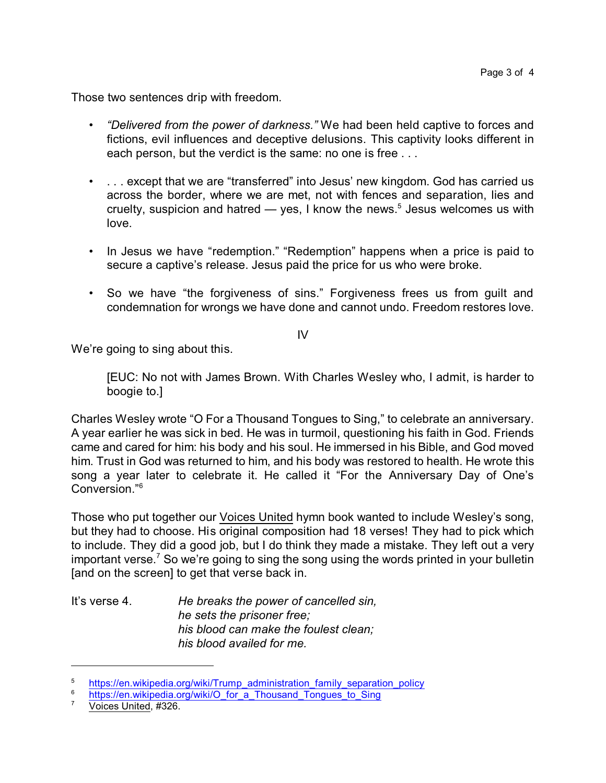Those two sentences drip with freedom.

- *"Delivered from the power of darkness."* We had been held captive to forces and fictions, evil influences and deceptive delusions. This captivity looks different in each person, but the verdict is the same: no one is free ...
- ... except that we are "transferred" into Jesus' new kingdom. God has carried us across the border, where we are met, not with fences and separation, lies and cruelty, suspicion and hatred  $-$  yes, I know the news.<sup>5</sup> Jesus welcomes us with love.
- In Jesus we have "redemption." "Redemption" happens when a price is paid to secure a captive's release. Jesus paid the price for us who were broke.
- So we have "the forgiveness of sins." Forgiveness frees us from guilt and condemnation for wrongs we have done and cannot undo. Freedom restores love.

IV

We're going to sing about this.

[EUC: No not with James Brown. With Charles Wesley who, I admit, is harder to boogie to.]

Charles Wesley wrote "O For a Thousand Tongues to Sing," to celebrate an anniversary. A year earlier he was sick in bed. He was in turmoil, questioning his faith in God. Friends came and cared for him: his body and his soul. He immersed in his Bible, and God moved him. Trust in God was returned to him, and his body was restored to health. He wrote this song a year later to celebrate it. He called it "For the Anniversary Day of One's Conversion."<sup>6</sup>

Those who put together our Voices United hymn book wanted to include Wesley's song, but they had to choose. His original composition had 18 verses! They had to pick which to include. They did a good job, but I do think they made a mistake. They left out a very important verse.<sup>7</sup> So we're going to sing the song using the words printed in your bulletin [and on the screen] to get that verse back in.

It's verse 4. *He breaks the power of cancelled sin, he sets the prisoner free; his blood can make the foulest clean; his blood availed for me.*

<sup>&</sup>lt;sup>5</sup> [https://en.wikipedia.org/wiki/Trump\\_administration\\_family\\_separation\\_policy](https://en.wikipedia.org/wiki/Trump_administration_family_separation_policy)<br>bttps://en.wikipedia.org/wiki/O\_fax\_a\_Thawaad\_Tazawaa\_ta\_Sixa

 $\frac{6}{7}$  [https://en.wikipedia.org/wiki/O\\_for\\_a\\_Thousand\\_Tongues\\_to\\_Sing](https://en.wikipedia.org/wiki/O_for_a_Thousand_Tongues_to_Sing)

Voices United, #326.